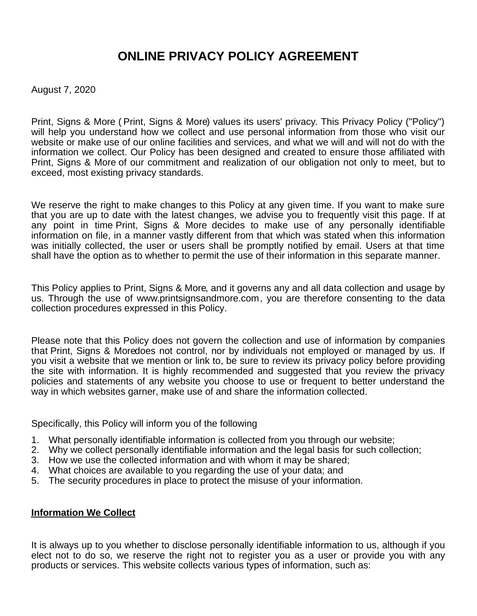# **ONLINE PRIVACY POLICY AGREEMENT**

August 7, 2020

Print, Signs & More ( Print, Signs & More) values its users' privacy. This Privacy Policy ("Policy") will help you understand how we collect and use personal information from those who visit our website or make use of our online facilities and services, and what we will and will not do with the information we collect. Our Policy has been designed and created to ensure those affiliated with Print, Signs & More of our commitment and realization of our obligation not only to meet, but to exceed, most existing privacy standards.

We reserve the right to make changes to this Policy at any given time. If you want to make sure that you are up to date with the latest changes, we advise you to frequently visit this page. If at any point in time Print, Signs & More decides to make use of any personally identifiable information on file, in a manner vastly different from that which was stated when this information was initially collected, the user or users shall be promptly notified by email. Users at that time shall have the option as to whether to permit the use of their information in this separate manner.

This Policy applies to Print, Signs & More, and it governs any and all data collection and usage by us. Through the use of www.printsignsandmore.com, you are therefore consenting to the data collection procedures expressed in this Policy.

Please note that this Policy does not govern the collection and use of information by companies that Print, Signs & Moredoes not control, nor by individuals not employed or managed by us. If you visit a website that we mention or link to, be sure to review its privacy policy before providing the site with information. It is highly recommended and suggested that you review the privacy policies and statements of any website you choose to use or frequent to better understand the way in which websites garner, make use of and share the information collected.

Specifically, this Policy will inform you of the following

- 1. What personally identifiable information is collected from you through our website;
- 2. Why we collect personally identifiable information and the legal basis for such collection;
- 3. How we use the collected information and with whom it may be shared;
- 4. What choices are available to you regarding the use of your data; and
- 5. The security procedures in place to protect the misuse of your information.

## **Information We Collect**

It is always up to you whether to disclose personally identifiable information to us, although if you elect not to do so, we reserve the right not to register you as a user or provide you with any products or services. This website collects various types of information, such as: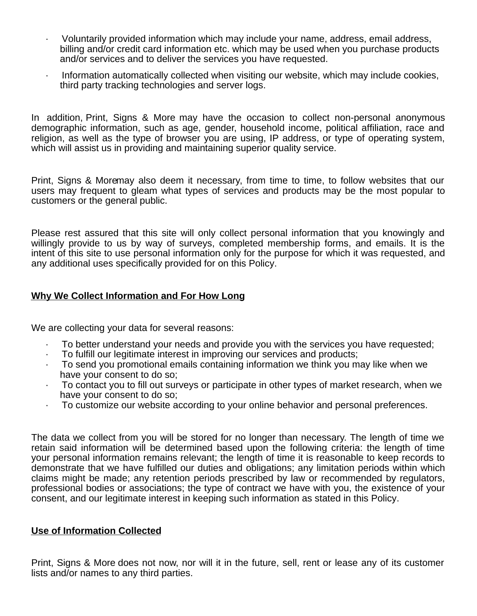- · Voluntarily provided information which may include your name, address, email address, billing and/or credit card information etc. which may be used when you purchase products and/or services and to deliver the services you have requested.
- · Information automatically collected when visiting our website, which may include cookies, third party tracking technologies and server logs.

In addition, Print, Signs & More may have the occasion to collect non-personal anonymous demographic information, such as age, gender, household income, political affiliation, race and religion, as well as the type of browser you are using, IP address, or type of operating system, which will assist us in providing and maintaining superior quality service.

Print, Signs & Moremay also deem it necessary, from time to time, to follow websites that our users may frequent to gleam what types of services and products may be the most popular to customers or the general public.

Please rest assured that this site will only collect personal information that you knowingly and willingly provide to us by way of surveys, completed membership forms, and emails. It is the intent of this site to use personal information only for the purpose for which it was requested, and any additional uses specifically provided for on this Policy.

## **Why We Collect Information and For How Long**

We are collecting your data for several reasons:

- · To better understand your needs and provide you with the services you have requested;
- · To fulfill our legitimate interest in improving our services and products;
- $\cdot$  To send you promotional emails containing information we think you may like when we have your consent to do so;
- To contact you to fill out surveys or participate in other types of market research, when we have your consent to do so;
- To customize our website according to your online behavior and personal preferences.

The data we collect from you will be stored for no longer than necessary. The length of time we retain said information will be determined based upon the following criteria: the length of time your personal information remains relevant; the length of time it is reasonable to keep records to demonstrate that we have fulfilled our duties and obligations; any limitation periods within which claims might be made; any retention periods prescribed by law or recommended by regulators, professional bodies or associations; the type of contract we have with you, the existence of your consent, and our legitimate interest in keeping such information as stated in this Policy.

## **Use of Information Collected**

Print, Signs & More does not now, nor will it in the future, sell, rent or lease any of its customer lists and/or names to any third parties.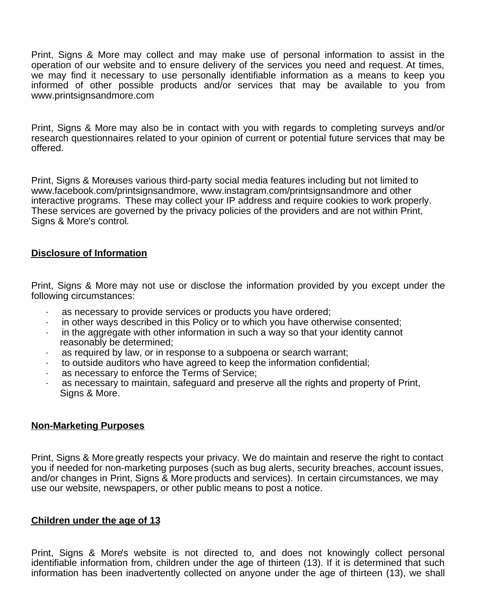Print, Signs & More may collect and may make use of personal information to assist in the operation of our website and to ensure delivery of the services you need and request. At times, we may find it necessary to use personally identifiable information as a means to keep you informed of other possible products and/or services that may be available to you from www.printsignsandmore.com

Print, Signs & More may also be in contact with you with regards to completing surveys and/or research questionnaires related to your opinion of current or potential future services that may be offered.

Print, Signs & Moreuses various third-party social media features including but not limited to www.facebook.com/printsignsandmore, www.instagram.com/printsignsandmore and other interactive programs. These may collect your IP address and require cookies to work properly. These services are governed by the privacy policies of the providers and are not within Print, Signs & More's control.

## **Disclosure of Information**

Print, Signs & More may not use or disclose the information provided by you except under the following circumstances:

- · as necessary to provide services or products you have ordered;
- · in other ways described in this Policy or to which you have otherwise consented;
- $\cdot$  in the aggregate with other information in such a way so that your identity cannot reasonably be determined;
- · as required by law, or in response to a subpoena or search warrant;
- · to outside auditors who have agreed to keep the information confidential;
- as necessary to enforce the Terms of Service;
- as necessary to maintain, safeguard and preserve all the rights and property of Print, Signs & More.

## **Non-Marketing Purposes**

Print, Signs & More greatly respects your privacy. We do maintain and reserve the right to contact you if needed for non-marketing purposes (such as bug alerts, security breaches, account issues, and/or changes in Print, Signs & More products and services). In certain circumstances, we may use our website, newspapers, or other public means to post a notice.

## **Children under the age of 13**

Print, Signs & More's website is not directed to, and does not knowingly collect personal identifiable information from, children under the age of thirteen (13). If it is determined that such information has been inadvertently collected on anyone under the age of thirteen (13), we shall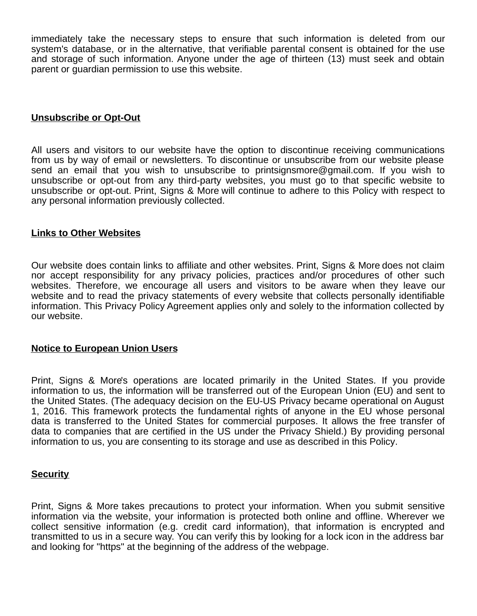immediately take the necessary steps to ensure that such information is deleted from our system's database, or in the alternative, that verifiable parental consent is obtained for the use and storage of such information. Anyone under the age of thirteen (13) must seek and obtain parent or guardian permission to use this website.

## **Unsubscribe or Opt-Out**

All users and visitors to our website have the option to discontinue receiving communications from us by way of email or newsletters. To discontinue or unsubscribe from our website please send an email that you wish to unsubscribe to printsignsmore@gmail.com. If you wish to unsubscribe or opt-out from any third-party websites, you must go to that specific website to unsubscribe or opt-out. Print, Signs & More will continue to adhere to this Policy with respect to any personal information previously collected.

#### **Links to Other Websites**

Our website does contain links to affiliate and other websites. Print, Signs & More does not claim nor accept responsibility for any privacy policies, practices and/or procedures of other such websites. Therefore, we encourage all users and visitors to be aware when they leave our website and to read the privacy statements of every website that collects personally identifiable information. This Privacy Policy Agreement applies only and solely to the information collected by our website.

#### **Notice to European Union Users**

Print, Signs & More's operations are located primarily in the United States. If you provide information to us, the information will be transferred out of the European Union (EU) and sent to the United States. (The adequacy decision on the EU-US Privacy became operational on August 1, 2016. This framework protects the fundamental rights of anyone in the EU whose personal data is transferred to the United States for commercial purposes. It allows the free transfer of data to companies that are certified in the US under the Privacy Shield.) By providing personal information to us, you are consenting to its storage and use as described in this Policy.

#### **Security**

Print, Signs & More takes precautions to protect your information. When you submit sensitive information via the website, your information is protected both online and offline. Wherever we collect sensitive information (e.g. credit card information), that information is encrypted and transmitted to us in a secure way. You can verify this by looking for a lock icon in the address bar and looking for "https" at the beginning of the address of the webpage.